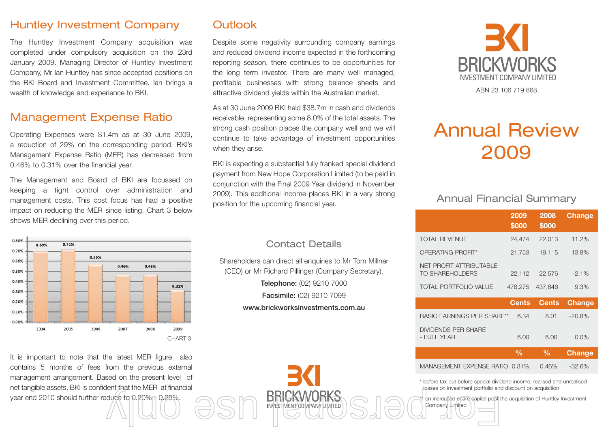#### Huntley Investment Company

The Huntley Investment Company acquisition was completed under compulsory acquisition on the 23rd January 2009. Managing Director of Huntley Investment Company, Mr Ian Huntley has since accepted positions on the BKI Board and Investment Committee. Ian brings a wealth of knowledge and experience to BKI.

## Management Expense Ratio

Operating Expenses were \$1.4m as at 30 June 2009, a reduction of 29% on the corresponding period. BKI's Management Expense Ratio (MER) has decreased from 0.46% to 0.31% over the financial year.

The Management and Board of BKI are focussed on keeping a tight control over administration and management costs. This cost focus has had a positive impact on reducing the MER since listing. Chart 3 below shows MER declining over this period.



It is important to note that the latest MER figure also contains 5 months of fees from the previous external management arrangement. Based on the present level of net tangible assets, BKI is confident that the MER at financial year end 2010 should further reduce to 0.20% - 0.25%. duce to 0.20% 0.25%.<br>
A COMPANY LIMITED SOLO Company Limited Company Limited Company Limited Company Limited Company Limited Company<br>
The Company Limited Company Limited Company Limited Company Limited Company Limited Comp

## **Outlook**

Despite some negativity surrounding company earnings and reduced dividend income expected in the forthcoming reporting season, there continues to be opportunities for the long term investor. There are many well managed, profitable businesses with strong balance sheets and attractive dividend yields within the Australian market.

As at 30 June 2009 BKI held \$38.7m in cash and dividends receivable, representing some 8.0% of the total assets. The strong cash position places the company well and we will continue to take advantage of investment opportunities when they arise.

BKI is expecting a substantial fully franked special dividend payment from New Hope Corporation Limited (to be paid in conjunction with the Final 2009 Year dividend in November 2009). This additional income places BKI in a very strong position for the upcoming financial year.

#### Contact Details

Shareholders can direct all enquiries to Mr Tom Millner (CEO) or Mr Richard Pillinger (Company Secretary). **Telephone:** (02) 9210 7000

**Facsimile:** (02) 9210 7099

**www.brickworksinvestments.com.au**



# Annual Review 2009

#### Annual Financial Summary

|                                                   | 2009<br>\$000 | 2008<br>\$000 | <b>Change</b> |
|---------------------------------------------------|---------------|---------------|---------------|
| <b>TOTAL REVENUE</b>                              | 24,474        | 22,013        | 11.2%         |
| OPERATING PROFIT*                                 | 21,753        | 19,115        | 13.8%         |
| NET PROFIT ATTRIBUTABLE<br><b>TO SHAREHOLDERS</b> | 22,112        | 22,576        | $-2.1\%$      |
| <b>TOTAL PORTFOLIO VALUE</b>                      | 478,275       | 437,646       | 9.3%          |
|                                                   | <b>Cents</b>  |               |               |
|                                                   |               | <b>Cents</b>  | <b>Change</b> |
| <b>BASIC EARNINGS PER SHARE**</b>                 | 6.34          | 8.01          | $-20.8%$      |
| <b>DIVIDENDS PER SHARE</b><br>- FULL YEAR         | 6.00          | 6.00          | $0.0\%$       |
|                                                   | $\frac{0}{0}$ | $\frac{0}{0}$ | <b>Change</b> |

\* before tax but before special dividend income, realised and unrealised losses on investment portfolio and discount on acquisition

Company Limited

on increased share capital post the acquisition of Huntley Investment